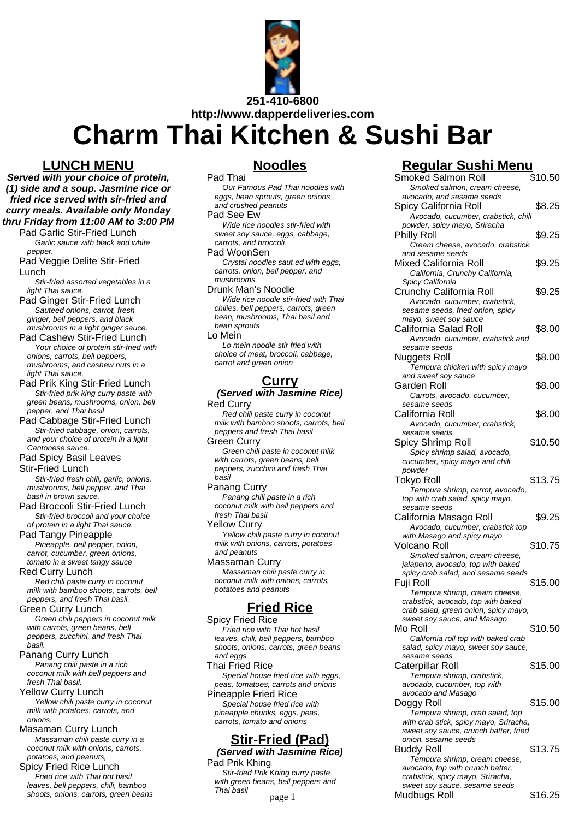

**Charm Thai Kitchen & Sushi Bar**

### **LUNCH MENU**

**Served with your choice of protein, (1) side and a soup. Jasmine rice or fried rice served with sir-fried and curry meals. Available only Monday thru Friday from 11:00 AM to 3:00 PM**

Pad Garlic Stir-Fried Lunch Garlic sauce with black and white pepper.

Pad Veggie Delite Stir-Fried Lunch

Stir-fried assorted vegetables in a light Thai sauce.

Pad Ginger Stir-Fried Lunch Sauteed onions, carrot, fresh ginger, bell peppers, and black mushrooms in a light ginger sauce.

Pad Cashew Stir-Fried Lunch Your choice of protein stir-fried with onions, carrots, bell peppers, mushrooms, and cashew nuts in a light Thai sauce,

Pad Prik King Stir-Fried Lunch Stir-fried prik king curry paste with green beans, mushrooms, onion, bell pepper, and Thai basil

Pad Cabbage Stir-Fried Lunch Stir-fried cabbage, onion, carrots, and your choice of protein in a light Cantonese sauce.

Pad Spicy Basil Leaves

Stir-Fried Lunch

Stir-fried fresh chili, garlic, onions, mushrooms, bell pepper, and Thai basil in brown sauce.

Pad Broccoli Stir-Fried Lunch Stir-fried broccoli and your choice of protein in a light Thai sauce.

Pad Tangy Pineapple Pineapple, bell pepper, onion, carrot, cucumber, green onions, tomato in a sweet tangy sauce

Red Curry Lunch Red chili paste curry in coconut milk with bamboo shoots, carrots, bell peppers, and fresh Thai basil.

Green Curry Lunch Green chili peppers in coconut milk with carrots, green beans, bell peppers, zucchini, and fresh Thai basil.

Panang Curry Lunch Panang chili paste in a rich coconut milk with bell peppers and fresh Thai basil.

Yellow Curry Lunch Yellow chili paste curry in coconut milk with potatoes, carrots, and onions.

Masaman Curry Lunch Massaman chili paste curry in a coconut milk with onions, carrots, potatoes, and peanuts, Spicy Fried Rice Lunch

Fried rice with Thai hot basil leaves, bell peppers, chili, bamboo shoots, onions, carrots, green beans

### **Noodles**

Pad Thai Our Famous Pad Thai noodles with eggs, bean sprouts, green onions and crushed peanuts Pad See Ew Wide rice noodles stir-fried with sweet soy sauce, eggs, cabbage, carrots, and broccoli Pad WoonSen Crystal noodles saut ed with eggs, carrots, onion, bell pepper, and mushrooms Drunk Man's Noodle Wide rice noodle stir-fried with Thai chilies, bell peppers, carrots, green bean, mushrooms, Thai basil and bean sprouts

Lo Mein

Lo mein noodle stir fried with choice of meat, broccoli, cabbage, carrot and green onion

#### **Curry**

**(Served with Jasmine Rice)** Red Curry

Red chili paste curry in coconut milk with bamboo shoots, carrots, bell peppers and fresh Thai basil Green Curry

Green chili paste in coconut milk with carrots, green beans, bell peppers, zucchini and fresh Thai basil

Panang Curry Panang chili paste in a rich coconut milk with bell peppers and fresh Thai basil Yellow Curry Yellow chili paste curry in coconut

milk with onions, carrots, potatoes and peanuts Massaman Curry

Massaman chili paste curry in coconut milk with onions, carrots, potatoes and peanuts

# **Fried Rice**

Spicy Fried Rice Fried rice with Thai hot basil leaves, chili, bell peppers, bamboo shoots, onions, carrots, green beans and eggs Thai Fried Rice Special house fried rice with eggs, peas, tomatoes, carrots and onions Pineapple Fried Rice Special house fried rice with pineapple chunks, eggs, peas, carrots, tomato and onions

## **Stir-Fried (Pad)**

**(Served with Jasmine Rice)** Pad Prik Khing

Stir-fried Prik Khing curry paste with green beans, bell peppers and Thai basil

## **Regular Sushi Menu**

|                                          | <b>Smoked Salmon Roll</b>                                         | \$10.50 |
|------------------------------------------|-------------------------------------------------------------------|---------|
| <sup>D</sup> ad Thai noodles with        | Smoked salmon, cream cheese,                                      |         |
| uts, green onions                        | avocado, and sesame seeds                                         |         |
| anuts                                    | Spicy California Roll                                             | \$8.25  |
|                                          | Avocado, cucumber, crabstick, chili                               |         |
| dles stir-fried with                     | powder, spicy mayo, Sriracha                                      |         |
| э, eggs, cabbage,                        | Philly Roll                                                       | \$9.25  |
| ccoli                                    | Cream cheese, avocado, crabstick                                  |         |
|                                          | and sesame seeds                                                  |         |
| es saut ed with eggs,<br>ell pepper, and | Mixed California Roll                                             | \$9.25  |
|                                          | California, Crunchy California,                                   |         |
| oodle                                    | Spicy California                                                  | \$9.25  |
| dle stir-fried with Thai                 | Crunchy California Roll                                           |         |
| pers, carrots, green                     | Avocado, cucumber, crabstick,<br>sesame seeds, fried onion, spicy |         |
| ns, Thai basil and                       | mayo, sweet soy sauce                                             |         |
|                                          | California Salad Roll                                             | \$8.00  |
|                                          | Avocado, cucumber, crabstick and                                  |         |
| le stir fried with                       | sesame seeds                                                      |         |
| broccoli, cabbage,                       | <b>Nuggets Roll</b>                                               | \$8.00  |
| n onion                                  | Tempura chicken with spicy mayo                                   |         |
|                                          | and sweet soy sauce                                               |         |
| <u>urry</u>                              | Garden Roll                                                       | \$8.00  |
| h Jasmine Rice)                          | Carrots, avocado, cucumber,                                       |         |
|                                          | sesame seeds                                                      |         |
| e curry in coconut                       | California Roll                                                   | \$8.00  |
| o shoots, carrots, bell                  | Avocado, cucumber, crabstick,                                     |         |
| sh Thai basil                            | sesame seeds                                                      |         |
|                                          | Spicy Shrimp Roll                                                 | \$10.50 |
| ste in coconut milk                      | Spicy shrimp salad, avocado,                                      |         |
| en beans, bell<br>ni and fresh Thai      | cucumber, spicy mayo and chili                                    |         |
|                                          | powder                                                            |         |
|                                          | Tokyo Roll                                                        | \$13.75 |
| vaste in a rich                          | Tempura shrimp, carrot, avocado,                                  |         |
| h bell peppers and                       | top with crab salad, spicy mayo,<br>sesame seeds                  |         |
|                                          | California Masago Roll                                            | \$9.25  |
|                                          | Avocado, cucumber, crabstick top                                  |         |
| aste curry in coconut                    | with Masago and spicy mayo                                        |         |
| , carrots, potatoes                      | Volcano Roll                                                      | \$10.75 |
|                                          | Smoked salmon, cream cheese,                                      |         |
| rry                                      | jalapeno, avocado, top with baked                                 |         |
| iili paste curry in                      | spicy crab salad, and sesame seeds                                |         |
| h onions, carrots,                       | Fuji Roll                                                         | \$15.00 |
| anuts                                    | Tempura shrimp, cream cheese,                                     |         |
|                                          | crabstick, avocado, top with baked                                |         |
| <u>d Rice:</u>                           | crab salad, green onion, spicy mayo,                              |         |
| э٥                                       | sweet soy sauce, and Masago                                       |         |
| ו Thai hot basil                         | Mo Roll                                                           | \$10.50 |
| l peppers, bamboo                        | California roll top with baked crab                               |         |
| carrots, green beans                     | salad, spicy mayo, sweet soy sauce,<br>sesame seeds               |         |
|                                          | Caterpillar Roll                                                  | \$15.00 |
| fried rice with eggs,                    | Tempura shrimp, crabstick,                                        |         |
| carrots and onions                       | avocado, cucumber, top with                                       |         |
| d Rice                                   | avocado and Masago                                                |         |
| e fried rice with                        | Doggy Roll                                                        | \$15.00 |
| ‹s, eggs, peas,                          | Tempura shrimp, crab salad, top                                   |         |
| and onions                               | with crab stick, spicy mayo, Sriracha,                            |         |
|                                          | sweet soy sauce, crunch batter, fried                             |         |
| <u>ied (Pad)</u>                         | onion, sesame seeds                                               |         |
| h Jasmine Rice)                          | <b>Buddy Roll</b>                                                 | \$13.75 |
|                                          | Tempura shrimp, cream cheese,                                     |         |
| Khing curry paste                        | avocado, top with crunch batter,                                  |         |
| s, bell peppers and                      | crabstick, spicy mayo, Sriracha,<br>sweet soy sauce, sesame seeds |         |
|                                          | Mudbugs Roll                                                      | \$16.25 |
| page 1                                   |                                                                   |         |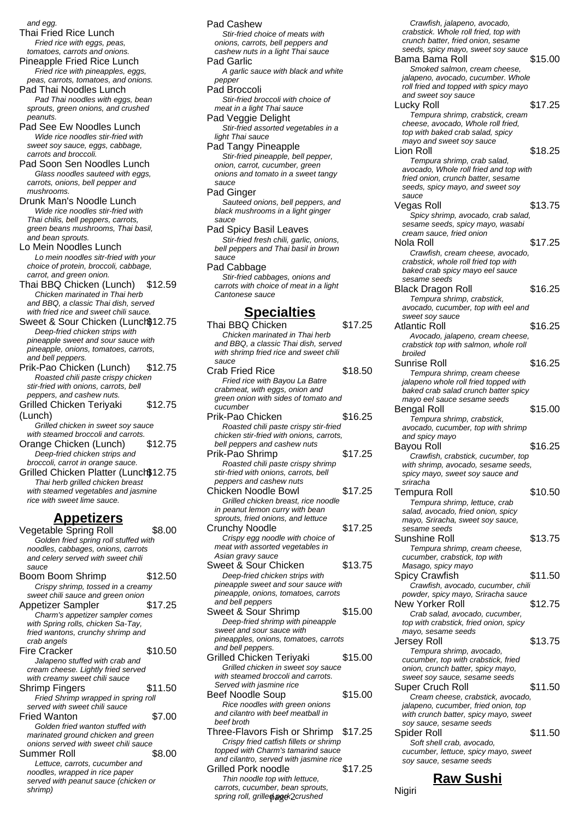and egg.

Thai Fried Rice Lunch Fried rice with eggs, peas, tomatoes, carrots and onions.

Pineapple Fried Rice Lunch Fried rice with pineapples, eggs, peas, carrots, tomatoes, and onions.

Pad Thai Noodles Lunch Pad Thai noodles with eggs, bean sprouts, green onions, and crushed peanuts.

Pad See Ew Noodles Lunch Wide rice noodles stir-fried with sweet soy sauce, eggs, cabbage, carrots and broccoli.

Pad Soon Sen Noodles Lunch Glass noodles sauteed with eggs, carrots, onions, bell pepper and mushrooms.

Drunk Man's Noodle Lunch Wide rice noodles stir-fried with Thai chilis, bell peppers, carrots, green beans mushrooms, Thai basil, and bean sprouts.

Lo Mein Noodles Lunch Lo mein noodles sitr-fried with your choice of protein, broccoli, cabbage, carrot, and green onion.

Thai BBQ Chicken (Lunch) \$12.59 Chicken marinated in Thai herb and BBQ, a classic Thai dish, served with fried rice and sweet chili sauce.

Sweet & Sour Chicken (Lunch) 12.75 Deen-fried chicken strips with pineapple sweet and sour sauce with pineapple, onions, tomatoes, carrots, and bell peppers.

Prik-Pao Chicken (Lunch) \$12.75 Roasted chili paste crispy chicken stir-fried with onions, carrots, bell peppers, and cashew nuts.

Grilled Chicken Teriyaki (Lunch) \$12.75

Grilled chicken in sweet soy sauce with steamed broccoli and carrots

Orange Chicken (Lunch) \$12.75 Deep-fried chicken strips and broccoli, carrot in orange sauce.

Grilled Chicken Platter (Lunch\$12.75 Thai herb grilled chicken breast with steamed vegetables and jasmine rice with sweet lime sauce.

#### **Appetizers**

Vegetable Spring Roll \$8.00 Golden fried spring roll stuffed with noodles, cabbages, onions, carrots and celery served with sweet chili sauce Boom Boom Shrimp \$12.50 Crispy shrimp, tossed in a creamy sweet chili sauce and green onion Appetizer Sampler \$17.25 Charm's appetizer sampler comes with Spring rolls, chicken Sa-Tay, fried wantons, crunchy shrimp and crab angels Fire Cracker \$10.50 Jalapeno stuffed with crab and cream cheese. Lightly fried served with creamy sweet chili sauce Shrimp Fingers \$11.50 Fried Shrimp wrapped in spring roll served with sweet chili sauce Fried Wanton  $$7.00$ Golden fried wanton stuffed with marinated ground chicken and green onions served with sweet chili sauce Summer Roll \$8.00 Lettuce, carrots, cucumber and noodles, wrapped in rice paper served with peanut sauce (chicken or shrimp)

Pad Cashew Stir-fried choice of meats with onions, carrots, bell peppers and cashew nuts in a light Thai sauce Pad Garlic A garlic sauce with black and white pepper Pad Broccoli Stir-fried broccoli with choice of meat in a light Thai sauce Pad Veggie Delight Stir-fried assorted vegetables in a light Thai sauce Pad Tangy Pineapple Stir-fried pineapple, bell pepper, onion, carrot, cucumber, green onions and tomato in a sweet tangy sauce Pad Ginger Sauteed onions, bell peppers, and black mushrooms in a light ginger sauce Pad Spicy Basil Leaves Stir-fried fresh chili, garlic, onions, bell peppers and Thai basil in brown sauce Pad Cabbage Stir-fried cabbages, onions and carrots with choice of meat in a light Cantonese sauce **Specialties** Thai BBQ Chicken \$17.25 Chicken marinated in Thai herb and BBQ, a classic Thai dish, served with shrimp fried rice and sweet chili sauce Crab Fried Rice \$18.50 Fried rice with Bayou La Batre crabmeat, with eggs, onion and green onion with sides of tomato and cucumber Prik-Pao Chicken \$16.25 Roasted chili paste crispy stir-fried chicken stir-fried with onions, carrots, bell peppers and cashew nuts Prik-Pao Shrimp \$17.25 Roasted chili paste crispy shrimp stir-fried with onions, carrots, bell peppers and cashew nuts Chicken Noodle Bowl \$17.25 Grilled chicken breast, rice noodle in peanut lemon curry with bean sprouts, fried onions, and lettuce Crunchy Noodle \$17.25 Crispy egg noodle with choice of meat with assorted vegetables in Asian gravy sauce Sweet & Sour Chicken \$13.75 Deep-fried chicken strips with pineapple sweet and sour sauce with pineapple, onions, tomatoes, carrots and bell peppers Sweet & Sour Shrimp \$15.00 Deep-fried shrimp with pineapple

sweet and sour sauce with pineapples, onions, tomatoes, carrots and bell peppers. Grilled Chicken Teriyaki \$15.00 Grilled chicken in sweet soy sauce with steamed broccoli and carrots. Served with jasmine rice Beef Noodle Soup \$15.00 Rice noodles with green onions and cilantro with beef meatball in beef broth Three-Flavors Fish or Shrimp \$17.25 Crispy fried catfish fillets or shrimp topped with Charm's tamarind sauce and cilantro, served with jasmine rice Grilled Pork noodle \$17.25 Thin noodle top with lettuce,

carrots, cucumber, bean sprouts, carrots, cucumber, bean sprouts, and a series a Nigiri<br>spring roll, grille**o**l@ek2crushed

Crawfish, jalapeno, avocado, crabstick. Whole roll fried, top with crunch batter, fried onion, sesame seeds, spicy mayo, sweet soy sauce Bama Bama Roll \$15.00 Smoked salmon, cream cheese, jalapeno, avocado, cucumber. Whole roll fried and topped with spicy mayo and sweet soy sauce Lucky Roll \$17.25 Tempura shrimp, crabstick, cream cheese, avocado, Whole roll fried, top with baked crab salad, spicy mayo and sweet soy sauce Lion Roll \$18.25 Tempura shrimp, crab salad, avocado, Whole roll fried and top with fried onion, crunch batter, sesame seeds, spicy mayo, and sweet soy sauce Vegas Roll \$13.75 Spicy shrimp, avocado, crab salad, sesame seeds, spicy mayo, wasabi cream sauce, fried onion Nola Roll \$17.25 Crawfish, cream cheese, avocado, crabstick, whole roll fried top with baked crab spicy mayo eel sauce sesame seeds Black Dragon Roll \$16.25 Tempura shrimp, crabstick, avocado, cucumber, top with eel and sweet soy sauce Atlantic Roll \$16.25 Avocado, jalapeno, cream cheese, crabstick top with salmon, whole roll broiled Sunrise Roll **\$16.25** Tempura shrimp, cream cheese jalapeno whole roll fried topped with baked crab salad crunch batter spicy mayo eel sauce sesame seeds Bengal Roll \$15.00 Tempura shrimp, crabstick, avocado, cucumber, top with shrimp and spicy mayo Bayou Roll \$16.25 Crawfish, crabstick, cucumber, top with shrimp, avocado, sesame seeds, spicy mayo, sweet soy sauce and sriracha Tempura Roll \$10.50 Tempura shrimp, lettuce, crab salad, avocado, fried onion, spicy mayo, Sriracha, sweet soy sauce, sesame seeds Sunshine Roll \$13.75 Tempura shrimp, cream cheese, cucumber, crabstick, top with Masago, spicy mayo Spicy Crawfish \$11.50 Crawfish, avocado, cucumber, chili powder, spicy mayo, Sriracha sauce New Yorker Roll \$12.75 Crab salad, avocado, cucumber, top with crabstick, fried onion, spicy mayo, sesame seeds Jersey Roll \$13.75 Tempura shrimp, avocado, cucumber, top with crabstick, fried onion, crunch batter, spicy mayo, sweet soy sauce, sesame seeds Super Cruch Roll \$11.50 Cream cheese, crabstick, avocado, jalapeno, cucumber, fried onion, top with crunch batter, spicy mayo, sweet soy sauce, sesame seeds Spider Roll \$11.50 Soft shell crab, avocado, cucumber, lettuce, spicy mayo, sweet soy sauce, sesame seeds

#### **Raw Sushi**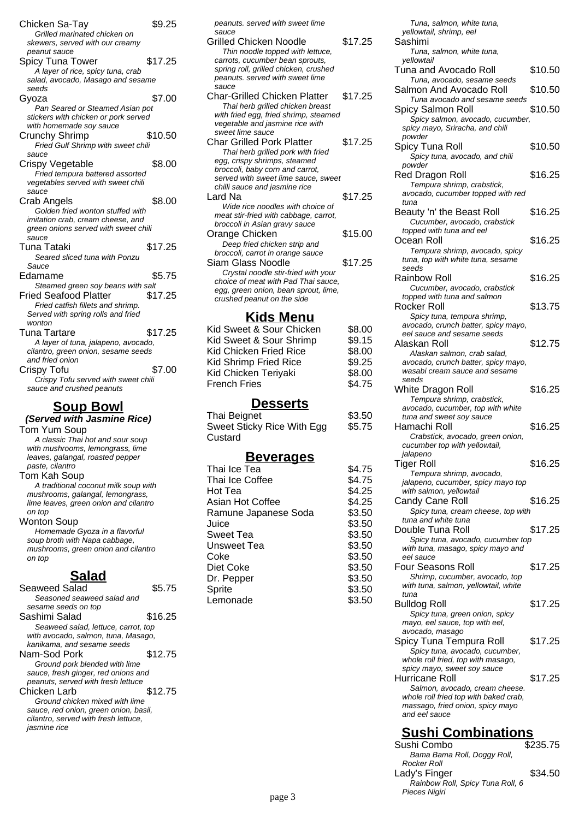| Chicken Sa-Tay<br>Grilled marinated chicken on<br>skewers, served with our creamy                                                     | \$9.25  |
|---------------------------------------------------------------------------------------------------------------------------------------|---------|
| peanut sauce<br>Spicy Tuna Tower<br>A layer of rice, spicy tuna, crab<br>salad, avocado, Masago and sesame<br>seeds                   | \$17.25 |
| Gyoza<br>Pan Seared or Steamed Asian pot<br>stickers with chicken or pork served                                                      | \$7.00  |
| with homemade soy sauce<br>Crunchy Shrimp<br>Fried Gulf Shrimp with sweet chili<br>sauce                                              | \$10.50 |
| Crispy Vegetable<br>Fried tempura battered assorted<br>vegetables served with sweet chili<br>sauce                                    | \$8.00  |
| Crab Angels<br>Golden fried wonton stuffed with<br>imitation crab, cream cheese, and<br>green onions served with sweet chili<br>sauce | \$8.00  |
| Tuna Tataki<br>Seared sliced tuna with Ponzu<br>Sauce                                                                                 | \$17.25 |
| Edamame<br>Steamed green soy beans with salt                                                                                          | \$5.75  |
| Fried Seafood Platter<br>Fried catfish fillets and shrimp.<br>Served with spring rolls and fried<br>wonton                            | \$17.25 |
| Tuna Tartare<br>A layer of tuna, jalapeno, avocado,<br>cilantro, green onion, sesame seeds<br>and fried onion                         | \$17.25 |
| Crispy Tofu<br>Crispy Tofu served with sweet chili<br>sauce and crushed peanuts                                                       | \$7.00  |

#### **Soup Bowl (Served with Jasmine Rice)** Tom Yum Soup

A classic Thai hot and sour soup with mushrooms, lemongrass, lime leaves, galangal, roasted pepper paste, cilantro Tom Kah Soup A traditional coconut milk soup with

mushrooms, galangal, lemongrass, lime leaves, green onion and cilantro on top Wonton Soup

Homemade Gyoza in a flavorful soup broth with Napa cabbage, mushrooms, green onion and cilantro on top

### **Salad**

| Seaweed Salad                         | 5.75    |
|---------------------------------------|---------|
| Seasoned seaweed salad and            |         |
| sesame seeds on top                   |         |
| Sashimi Salad                         | \$16.25 |
| Seaweed salad, lettuce, carrot, top   |         |
| with avocado, salmon, tuna, Masago,   |         |
| kanikama, and sesame seeds            |         |
| Nam-Sod Pork                          | \$12.75 |
| Ground pork blended with lime         |         |
| sauce, fresh ginger, red onions and   |         |
| peanuts, served with fresh lettuce    |         |
| Chicken Larb                          | \$12.75 |
| Ground chicken mixed with lime        |         |
| sauce, red onion, green onion, basil, |         |
| cilantro, served with fresh lettuce.  |         |
| <i>iasmine rice</i>                   |         |
|                                       |         |

| peanuts. served with sweet lime                                          |         |
|--------------------------------------------------------------------------|---------|
| sauce                                                                    |         |
| Grilled Chicken Noodle                                                   | \$17.25 |
| Thin noodle topped with lettuce,                                         |         |
| carrots, cucumber bean sprouts,                                          |         |
| spring roll, grilled chicken, crushed<br>peanuts. served with sweet lime |         |
| sauce                                                                    |         |
| <b>Char-Grilled Chicken Platter</b>                                      | \$17.25 |
|                                                                          |         |
| Thai herb grilled chicken breast                                         |         |
| with fried egg, fried shrimp, steamed<br>vegetable and jasmine rice with |         |
| sweet lime sauce                                                         |         |
| Char Grilled Pork Platter                                                | \$17.25 |
|                                                                          |         |
| Thai herb grilled pork with fried                                        |         |
| egg, crispy shrimps, steamed                                             |         |
| broccoli, baby corn and carrot,<br>served with sweet lime sauce, sweet   |         |
| chilli sauce and jasmine rice                                            |         |
| Lard Na                                                                  | \$17.25 |
|                                                                          |         |
| Wide rice noodles with choice of                                         |         |
| meat stir-fried with cabbage, carrot,<br>broccoli in Asian gravy sauce   |         |
|                                                                          | \$15.00 |
| Orange Chicken                                                           |         |
| Deep fried chicken strip and                                             |         |
| broccoli, carrot in orange sauce                                         |         |
| Siam Glass Noodle                                                        | \$17.25 |
| Crystal noodle stir-fried with your                                      |         |
| choice of meat with Pad Thai sauce,                                      |         |
| egg, green onion, bean sprout, lime,                                     |         |
| crushed peanut on the side                                               |         |
| Kids Menu                                                                |         |
|                                                                          |         |

| ו שוויט וויוניו          |        |
|--------------------------|--------|
| Kid Sweet & Sour Chicken | \$8.00 |
| Kid Sweet & Sour Shrimp  | \$9.15 |
| Kid Chicken Fried Rice   | \$8.00 |
| Kid Shrimp Fried Rice    | \$9.25 |
| Kid Chicken Teriyaki     | \$8.00 |
| French Fries             | \$4.75 |
|                          |        |

### **Desserts**

| Thai Beignet               | \$3.50 |
|----------------------------|--------|
| Sweet Sticky Rice With Egg | \$5.75 |
| Custard                    |        |

### **Beverages**

| \$4.75 |
|--------|
| \$4.75 |
| \$4.25 |
| \$4.25 |
| \$3.50 |
| \$3.50 |
| \$3.50 |
| \$3.50 |
| \$3.50 |
| \$3.50 |
| \$3.50 |
| \$3.50 |
| \$3.50 |
|        |

| Tuna, salmon, white tuna,<br>yellowtail, shrimp, eel                                                |         |
|-----------------------------------------------------------------------------------------------------|---------|
| Sashimi<br>Tuna, salmon, white tuna,                                                                |         |
| vellowtail<br>Tuna and Avocado Roll                                                                 | \$10.50 |
| Tuna, avocado, sesame seeds<br>Salmon And Avocado Roll                                              | \$10.50 |
| Tuna avocado and sesame seeds<br><b>Spicy Salmon Roll</b>                                           | \$10.50 |
| Spicy salmon, avocado, cucumber,<br>spicy mayo, Sriracha, and chili<br>powder                       |         |
| Spicy Tuna Roll<br>Spicy tuna, avocado, and chili<br>powder                                         | \$10.50 |
| Red Dragon Roll<br>Tempura shrimp, crabstick,                                                       | \$16.25 |
| avocado, cucumber topped with red<br>tuna                                                           |         |
| Beauty 'n' the Beast Roll<br>Cucumber, avocado, crabstick                                           | \$16.25 |
| topped with tuna and eel<br>Ocean Roll                                                              | \$16.25 |
| Tempura shrimp, avocado, spicy<br>tuna, top with white tuna, sesame<br>seeds                        |         |
| Rainbow Roll<br>Cucumber, avocado, crabstick                                                        | \$16.25 |
| topped with tuna and salmon<br>Rocker Roll                                                          | \$13.75 |
| Spicy tuna, tempura shrimp,<br>avocado, crunch batter, spicy mayo,<br>eel sauce and sesame seeds    |         |
| Alaskan Roll<br>Alaskan salmon, crab salad,                                                         | \$12.75 |
| avocado, crunch batter, spicy mayo,<br>wasabi cream sauce and sesame                                |         |
| seeds<br>White Dragon Roll                                                                          | \$16.25 |
| Tempura shrimp, crabstick,<br>avocado, cucumber, top with white<br>tuna and sweet soy sauce         |         |
| Hamachi Roll<br>Crabstick, avocado, green onion,                                                    | \$16.25 |
| cucumber top with yellowtail,<br>jalapeno                                                           |         |
| Tiger Roll<br>Tempura shrimp, avocado,                                                              | \$16.25 |
| jalapeno, cucumber, spicy mayo top<br>with salmon, yellowtail                                       |         |
| <b>Candy Cane Roll</b><br>Spicy tuna, cream cheese, top with                                        | \$16.25 |
| tuna and white tuna<br>Double Tuna Roll                                                             | \$17.25 |
| Spicy tuna, avocado, cucumber top<br>with tuna, masago, spicy mayo and                              |         |
| eel sauce<br>Four Seasons Roll                                                                      | \$17.25 |
| Shrimp, cucumber, avocado, top<br>with tuna, salmon, yellowtail, white<br>tuna                      |         |
| Bulldog Roll                                                                                        | \$17.25 |
| Spicy tuna, green onion, spicy<br>mayo, eel sauce, top with eel,<br>avocado, masago                 |         |
| Spicy Tuna Tempura Roll                                                                             | \$17.25 |
| Spicy tuna, avocado, cucumber,<br>whole roll fried, top with masago,<br>spicy mayo, sweet soy sauce |         |
| Hurricane Roll<br>Salmon, avocado, cream cheese.                                                    | \$17.25 |
| whole roll fried top with baked crab,<br>massago, fried onion, spicy mayo                           |         |

# **Sushi Combinations**

and eel sauce

| Sushi Combo                      | \$235.75 |
|----------------------------------|----------|
| Bama Bama Roll, Doggy Roll,      |          |
| Rocker Roll                      |          |
| Lady's Finger                    | \$34.50  |
| Rainbow Roll, Spicy Tuna Roll, 6 |          |
| Pieces Nigiri                    |          |